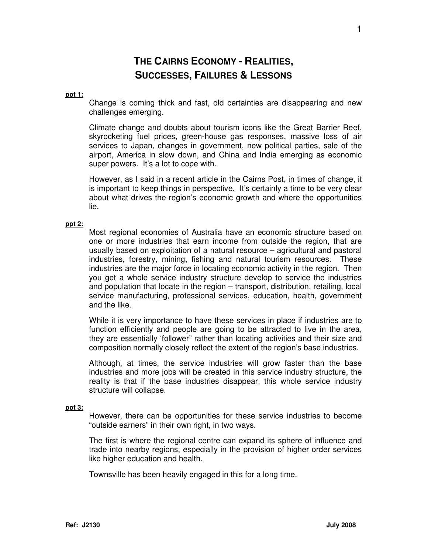# **THE CAIRNS ECONOMY - REALITIES, SUCCESSES, FAILURES & LESSONS**

#### **ppt 1:**

Change is coming thick and fast, old certainties are disappearing and new challenges emerging.

Climate change and doubts about tourism icons like the Great Barrier Reef, skyrocketing fuel prices, green-house gas responses, massive loss of air services to Japan, changes in government, new political parties, sale of the airport, America in slow down, and China and India emerging as economic super powers. It's a lot to cope with.

However, as I said in a recent article in the Cairns Post, in times of change, it is important to keep things in perspective. It's certainly a time to be very clear about what drives the region's economic growth and where the opportunities lie.

#### **ppt 2:**

Most regional economies of Australia have an economic structure based on one or more industries that earn income from outside the region, that are usually based on exploitation of a natural resource – agricultural and pastoral industries, forestry, mining, fishing and natural tourism resources. These industries are the major force in locating economic activity in the region. Then you get a whole service industry structure develop to service the industries and population that locate in the region – transport, distribution, retailing, local service manufacturing, professional services, education, health, government and the like.

While it is very importance to have these services in place if industries are to function efficiently and people are going to be attracted to live in the area, they are essentially 'follower" rather than locating activities and their size and composition normally closely reflect the extent of the region's base industries.

Although, at times, the service industries will grow faster than the base industries and more jobs will be created in this service industry structure, the reality is that if the base industries disappear, this whole service industry structure will collapse.

# **ppt 3:**

However, there can be opportunities for these service industries to become "outside earners" in their own right, in two ways.

The first is where the regional centre can expand its sphere of influence and trade into nearby regions, especially in the provision of higher order services like higher education and health.

Townsville has been heavily engaged in this for a long time.

1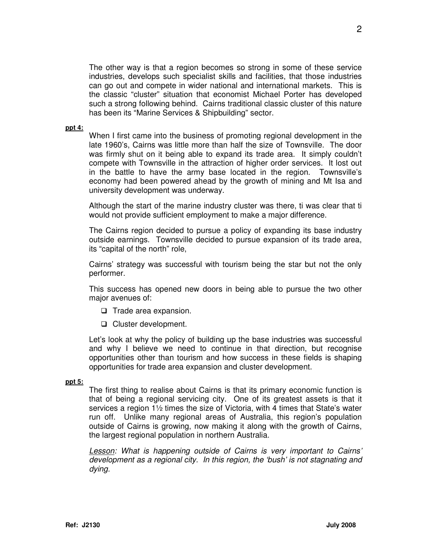The other way is that a region becomes so strong in some of these service industries, develops such specialist skills and facilities, that those industries can go out and compete in wider national and international markets. This is the classic "cluster" situation that economist Michael Porter has developed such a strong following behind. Cairns traditional classic cluster of this nature has been its "Marine Services & Shipbuilding" sector.

#### **ppt 4:**

When I first came into the business of promoting regional development in the late 1960's, Cairns was little more than half the size of Townsville. The door was firmly shut on it being able to expand its trade area. It simply couldn't compete with Townsville in the attraction of higher order services. It lost out in the battle to have the army base located in the region. Townsville's economy had been powered ahead by the growth of mining and Mt Isa and university development was underway.

Although the start of the marine industry cluster was there, ti was clear that ti would not provide sufficient employment to make a major difference.

The Cairns region decided to pursue a policy of expanding its base industry outside earnings. Townsville decided to pursue expansion of its trade area, its "capital of the north" role,

Cairns' strategy was successful with tourism being the star but not the only performer.

This success has opened new doors in being able to pursue the two other major avenues of:

- $\Box$  Trade area expansion.
- □ Cluster development.

Let's look at why the policy of building up the base industries was successful and why I believe we need to continue in that direction, but recognise opportunities other than tourism and how success in these fields is shaping opportunities for trade area expansion and cluster development.

## **ppt 5:**

The first thing to realise about Cairns is that its primary economic function is that of being a regional servicing city. One of its greatest assets is that it services a region 1½ times the size of Victoria, with 4 times that State's water run off. Unlike many regional areas of Australia, this region's population outside of Cairns is growing, now making it along with the growth of Cairns, the largest regional population in northern Australia.

Lesson: What is happening outside of Cairns is very important to Cairns' development as a regional city. In this region, the 'bush' is not stagnating and dying.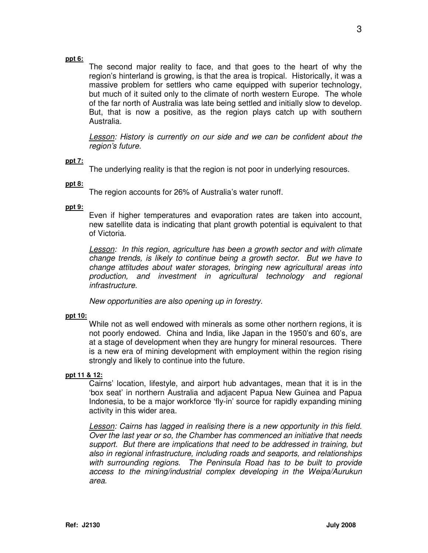## **ppt 6:**

The second major reality to face, and that goes to the heart of why the region's hinterland is growing, is that the area is tropical. Historically, it was a massive problem for settlers who came equipped with superior technology, but much of it suited only to the climate of north western Europe. The whole of the far north of Australia was late being settled and initially slow to develop. But, that is now a positive, as the region plays catch up with southern Australia.

**Lesson:** History is currently on our side and we can be confident about the region's future.

## **ppt 7:**

The underlying reality is that the region is not poor in underlying resources.

## **ppt 8:**

The region accounts for 26% of Australia's water runoff.

## **ppt 9:**

Even if higher temperatures and evaporation rates are taken into account, new satellite data is indicating that plant growth potential is equivalent to that of Victoria.

Lesson: In this region, agriculture has been a growth sector and with climate change trends, is likely to continue being a growth sector. But we have to change attitudes about water storages, bringing new agricultural areas into production, and investment in agricultural technology and regional infrastructure.

New opportunities are also opening up in forestry.

#### **ppt 10:**

While not as well endowed with minerals as some other northern regions, it is not poorly endowed. China and India, like Japan in the 1950's and 60's, are at a stage of development when they are hungry for mineral resources. There is a new era of mining development with employment within the region rising strongly and likely to continue into the future.

#### **ppt 11 & 12:**

Cairns' location, lifestyle, and airport hub advantages, mean that it is in the 'box seat' in northern Australia and adjacent Papua New Guinea and Papua Indonesia, to be a major workforce 'fly-in' source for rapidly expanding mining activity in this wider area.

Lesson: Cairns has lagged in realising there is a new opportunity in this field. Over the last year or so, the Chamber has commenced an initiative that needs support. But there are implications that need to be addressed in training, but also in regional infrastructure, including roads and seaports, and relationships with surrounding regions. The Peninsula Road has to be built to provide access to the mining/industrial complex developing in the Weipa/Aurukun area.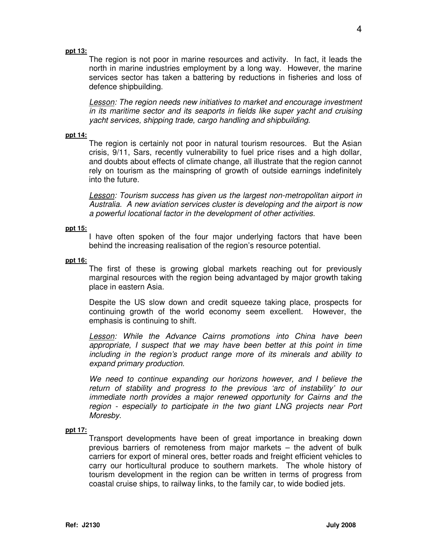#### **ppt 13:**

The region is not poor in marine resources and activity. In fact, it leads the north in marine industries employment by a long way. However, the marine services sector has taken a battering by reductions in fisheries and loss of defence shipbuilding.

Lesson: The region needs new initiatives to market and encourage investment in its maritime sector and its seaports in fields like super yacht and cruising yacht services, shipping trade, cargo handling and shipbuilding.

#### **ppt 14:**

The region is certainly not poor in natural tourism resources. But the Asian crisis, 9/11, Sars, recently vulnerability to fuel price rises and a high dollar, and doubts about effects of climate change, all illustrate that the region cannot rely on tourism as the mainspring of growth of outside earnings indefinitely into the future.

Lesson: Tourism success has given us the largest non-metropolitan airport in Australia. A new aviation services cluster is developing and the airport is now a powerful locational factor in the development of other activities.

#### **ppt 15:**

I have often spoken of the four major underlying factors that have been behind the increasing realisation of the region's resource potential.

## **ppt 16:**

The first of these is growing global markets reaching out for previously marginal resources with the region being advantaged by major growth taking place in eastern Asia.

Despite the US slow down and credit squeeze taking place, prospects for continuing growth of the world economy seem excellent. However, the emphasis is continuing to shift.

**Lesson:** While the Advance Cairns promotions into China have been appropriate, I suspect that we may have been better at this point in time including in the region's product range more of its minerals and ability to expand primary production.

We need to continue expanding our horizons however, and I believe the return of stability and progress to the previous 'arc of instability' to our immediate north provides a major renewed opportunity for Cairns and the region - especially to participate in the two giant LNG projects near Port Moresby.

# **ppt 17:**

Transport developments have been of great importance in breaking down previous barriers of remoteness from major markets – the advent of bulk carriers for export of mineral ores, better roads and freight efficient vehicles to carry our horticultural produce to southern markets. The whole history of tourism development in the region can be written in terms of progress from coastal cruise ships, to railway links, to the family car, to wide bodied jets.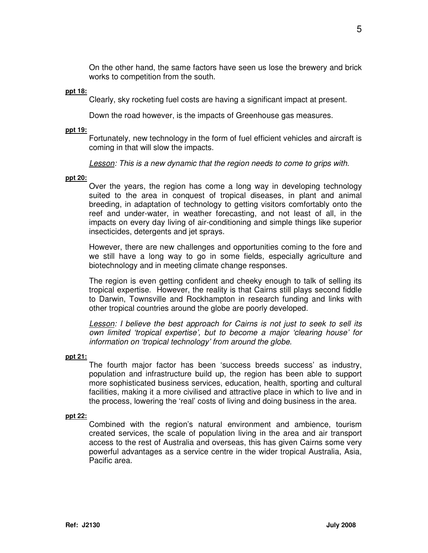On the other hand, the same factors have seen us lose the brewery and brick works to competition from the south.

#### **ppt 18:**

Clearly, sky rocketing fuel costs are having a significant impact at present.

Down the road however, is the impacts of Greenhouse gas measures.

#### **ppt 19:**

Fortunately, new technology in the form of fuel efficient vehicles and aircraft is coming in that will slow the impacts.

Lesson: This is a new dynamic that the region needs to come to grips with.

## **ppt 20:**

Over the years, the region has come a long way in developing technology suited to the area in conquest of tropical diseases, in plant and animal breeding, in adaptation of technology to getting visitors comfortably onto the reef and under-water, in weather forecasting, and not least of all, in the impacts on every day living of air-conditioning and simple things like superior insecticides, detergents and jet sprays.

However, there are new challenges and opportunities coming to the fore and we still have a long way to go in some fields, especially agriculture and biotechnology and in meeting climate change responses.

The region is even getting confident and cheeky enough to talk of selling its tropical expertise. However, the reality is that Cairns still plays second fiddle to Darwin, Townsville and Rockhampton in research funding and links with other tropical countries around the globe are poorly developed.

Lesson: I believe the best approach for Cairns is not just to seek to sell its own limited 'tropical expertise', but to become a major 'clearing house' for information on 'tropical technology' from around the globe.

#### **ppt 21:**

The fourth major factor has been 'success breeds success' as industry, population and infrastructure build up, the region has been able to support more sophisticated business services, education, health, sporting and cultural facilities, making it a more civilised and attractive place in which to live and in the process, lowering the 'real' costs of living and doing business in the area.

# **ppt 22:**

Combined with the region's natural environment and ambience, tourism created services, the scale of population living in the area and air transport access to the rest of Australia and overseas, this has given Cairns some very powerful advantages as a service centre in the wider tropical Australia, Asia, Pacific area.